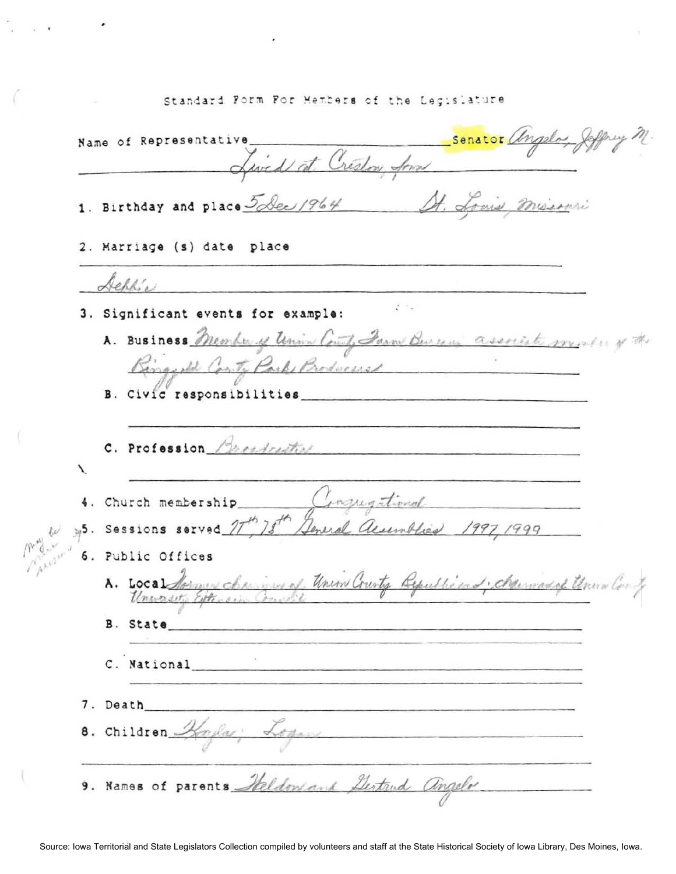## Standard Form For Members of the Legislature

Senator angelos St Name of Representative\_ Lived at Creston And 1. Birthday and place 5 Dec 1964 St. Louis mission 2. Marriage (s) date place Achlie a il 3. Significant events for example: A. Business Member of Union County Jan Bureaux associate monter of the Binggold Conty Park Broduceses B. Civic responsibilities C. Profession Benedictive Λ Conquational 4. Church membership 5. Sessions served 7 78 Jeneral aumobica 1997 1999 6. Public Offices A. Local Sommer chains of Union County Republicand, chainsadof Union Con Unwasety Eithersin B. State C. National 7. Death 8. Children Hayles; Logans 9. Names of parents Heldon and Gertrud angelo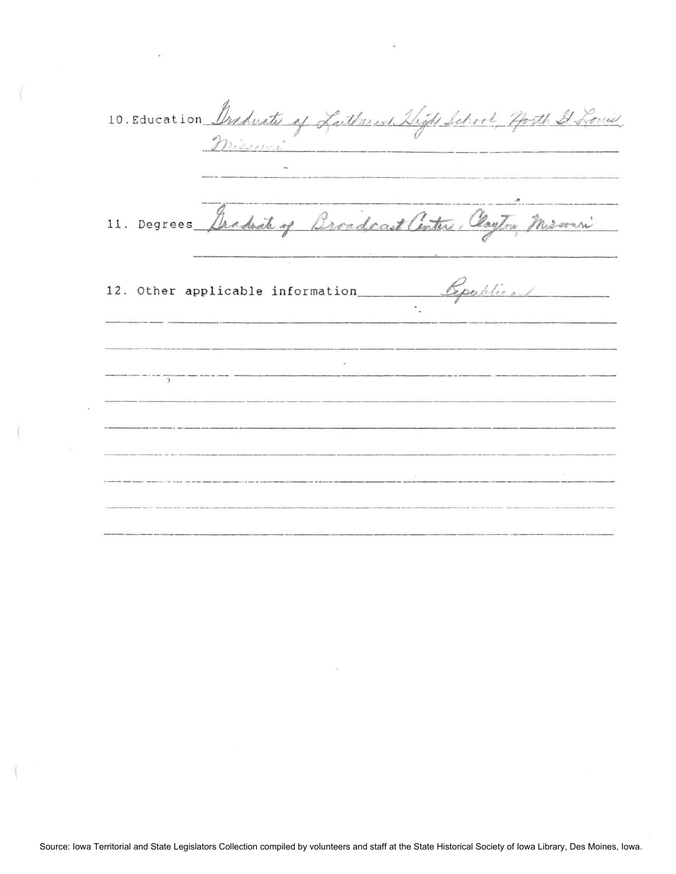10. Education Braduate of Lather ent Thigh School Horth It Louis, Draduate of Lather en Dight Sch ----.---- \_. \_-----  $\overline{\phantom{a}}$ 11. Degrees Archite of Broadcast anter Conform Missouri 12. Other applicable information \_\_\_\_\_\_\_\_*\_\_\_\_\_ <u>Epublic</u>*, **- - ---- -,- --- ---** - -------- -------------------- --\_. \_\_ .\_----------------- ------.. \_---------------- .---- ---\_ ... -----\_ ... \_------.\_--------- -------------- --\_ ... \_.\_.\_.\_------ .\_------ **NEW STATE REPORT OF STATE OF STATE**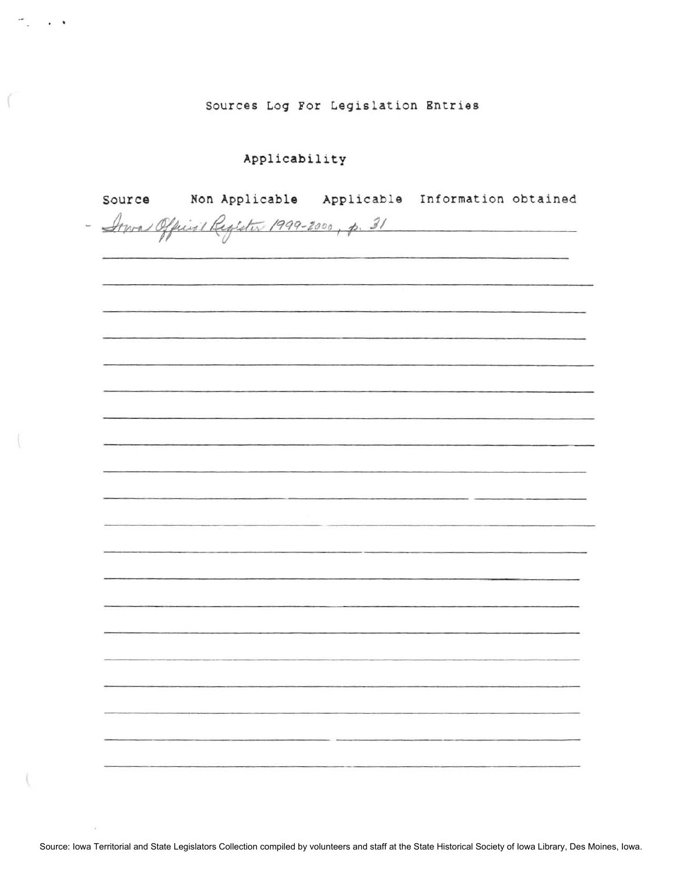Sources Log For Legislation Entries

## Applicability

 $\mathcal{C}_{\mathcal{A}}$  , and  $\mathcal{C}_{\mathcal{A}}$ 

I.

| Source | Non Applicable Applicable Information obtained                                                                       |                                                                                                                        |                                                                                           |  |
|--------|----------------------------------------------------------------------------------------------------------------------|------------------------------------------------------------------------------------------------------------------------|-------------------------------------------------------------------------------------------|--|
|        | - Inva Official Register 1999-2000, p. 31                                                                            |                                                                                                                        |                                                                                           |  |
|        |                                                                                                                      |                                                                                                                        |                                                                                           |  |
|        |                                                                                                                      |                                                                                                                        |                                                                                           |  |
|        |                                                                                                                      |                                                                                                                        |                                                                                           |  |
|        |                                                                                                                      |                                                                                                                        |                                                                                           |  |
|        |                                                                                                                      |                                                                                                                        |                                                                                           |  |
|        |                                                                                                                      |                                                                                                                        |                                                                                           |  |
|        | <u> 1988 - An Carlos Carlos (f. 1988), ann an Gaerra ann an Carlos (f. 1988).</u>                                    |                                                                                                                        |                                                                                           |  |
|        |                                                                                                                      |                                                                                                                        |                                                                                           |  |
|        |                                                                                                                      |                                                                                                                        |                                                                                           |  |
|        |                                                                                                                      |                                                                                                                        |                                                                                           |  |
|        |                                                                                                                      |                                                                                                                        |                                                                                           |  |
|        |                                                                                                                      |                                                                                                                        |                                                                                           |  |
|        |                                                                                                                      |                                                                                                                        |                                                                                           |  |
|        |                                                                                                                      |                                                                                                                        |                                                                                           |  |
|        |                                                                                                                      |                                                                                                                        |                                                                                           |  |
|        |                                                                                                                      |                                                                                                                        |                                                                                           |  |
|        | <u> 1989 - De Bronse de Bronse de Bronse de Bronse de Bronse de Bronse de Bronse de Bronse de Bronse de Bronse d</u> |                                                                                                                        |                                                                                           |  |
|        |                                                                                                                      |                                                                                                                        |                                                                                           |  |
|        |                                                                                                                      |                                                                                                                        | the control of the control of the control of the control of the control of the control of |  |
|        |                                                                                                                      | <b>CARDINAL COMPANY CONTINUES OF A STATE OF A STATE OF A STATE OF A STATE OF A STATE OF A STATE OF A STATE OF A ST</b> |                                                                                           |  |
|        |                                                                                                                      |                                                                                                                        |                                                                                           |  |
|        |                                                                                                                      |                                                                                                                        |                                                                                           |  |
|        |                                                                                                                      |                                                                                                                        |                                                                                           |  |
|        |                                                                                                                      |                                                                                                                        |                                                                                           |  |
|        |                                                                                                                      |                                                                                                                        |                                                                                           |  |
|        |                                                                                                                      |                                                                                                                        |                                                                                           |  |
|        |                                                                                                                      |                                                                                                                        |                                                                                           |  |
|        |                                                                                                                      |                                                                                                                        |                                                                                           |  |
|        |                                                                                                                      |                                                                                                                        |                                                                                           |  |
|        |                                                                                                                      |                                                                                                                        |                                                                                           |  |
|        |                                                                                                                      |                                                                                                                        |                                                                                           |  |
|        |                                                                                                                      |                                                                                                                        |                                                                                           |  |
|        |                                                                                                                      |                                                                                                                        |                                                                                           |  |

Source: Iowa Territorial and State Legislators Collection compiled by volunteers and staff at the State Historical Society of Iowa Library, Des Moines, Iowa.